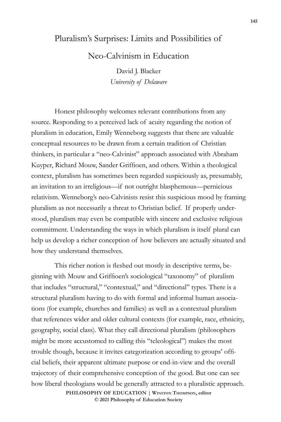## Pluralism's Surprises: Limits and Possibilities of

Neo-Calvinism in Education

David J. Blacker *University of Delaware*

Honest philosophy welcomes relevant contributions from any source. Responding to a perceived lack of acuity regarding the notion of pluralism in education, Emily Wenneborg suggests that there are valuable conceptual resources to be drawn from a certain tradition of Christian thinkers, in particular a "neo-Calvinist" approach associated with Abraham Kuyper, Richard Mouw, Sander Griffioen, and others. Within a theological context, pluralism has sometimes been regarded suspiciously as, presumably, an invitation to an irreligious—if not outright blasphemous—pernicious relativism. Wenneborg's neo-Calvinists resist this suspicious mood by framing pluralism as not necessarily a threat to Christian belief. If properly understood, pluralism may even be compatible with sincere and exclusive religious commitment. Understanding the ways in which pluralism is itself plural can help us develop a richer conception of how believers are actually situated and how they understand themselves.

This richer notion is fleshed out mostly in descriptive terms, beginning with Mouw and Griffioen's sociological "taxonomy" of pluralism that includes "structural," "contextual," and "directional" types. There is a structural pluralism having to do with formal and informal human associations (for example, churches and families) as well as a contextual pluralism that references wider and older cultural contexts (for example, race, ethnicity, geography, social class). What they call directional pluralism (philosophers might be more accustomed to calling this "teleological") makes the most trouble though, because it invites categorization according to groups' official beliefs, their apparent ultimate purpose or end-in-view and the overall trajectory of their comprehensive conception of the good. But one can see how liberal theologians would be generally attracted to a pluralistic approach. **PHILOSOPHY OF EDUCATION | Winston Thompson, editor** 

**© 2021 Philosophy of Education Society**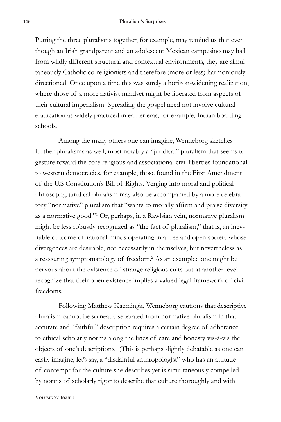## **146 Pluralism's Surprises**

Putting the three pluralisms together, for example, may remind us that even though an Irish grandparent and an adolescent Mexican campesino may hail from wildly different structural and contextual environments, they are simultaneously Catholic co-religionists and therefore (more or less) harmoniously directioned. Once upon a time this was surely a horizon-widening realization, where those of a more nativist mindset might be liberated from aspects of their cultural imperialism. Spreading the gospel need not involve cultural eradication as widely practiced in earlier eras, for example, Indian boarding schools.

Among the many others one can imagine, Wenneborg sketches further pluralisms as well, most notably a "juridical" pluralism that seems to gesture toward the core religious and associational civil liberties foundational to western democracies, for example, those found in the First Amendment of the U.S Constitution's Bill of Rights. Verging into moral and political philosophy, juridical pluralism may also be accompanied by a more celebratory "normative" pluralism that "wants to morally affirm and praise diversity as a normative good."1 Or, perhaps, in a Rawlsian vein, normative pluralism might be less robustly recognized as "the fact of pluralism," that is, an inevitable outcome of rational minds operating in a free and open society whose divergences are desirable, not necessarily in themselves, but nevertheless as a reassuring symptomatology of freedom.<sup>2</sup> As an example: one might be nervous about the existence of strange religious cults but at another level recognize that their open existence implies a valued legal framework of civil freedoms.

Following Matthew Kaemingk, Wenneborg cautions that descriptive pluralism cannot be so neatly separated from normative pluralism in that accurate and "faithful" description requires a certain degree of adherence to ethical scholarly norms along the lines of care and honesty vis-à-vis the objects of one's descriptions. (This is perhaps slightly debatable as one can easily imagine, let's say, a "disdainful anthropologist" who has an attitude of contempt for the culture she describes yet is simultaneously compelled by norms of scholarly rigor to describe that culture thoroughly and with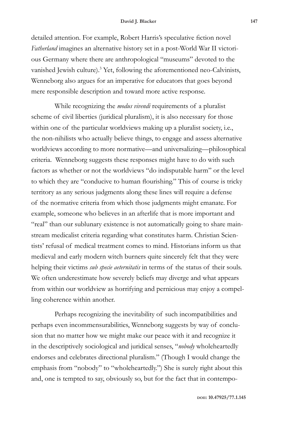detailed attention. For example, Robert Harris's speculative fiction novel *Fatherland* imagines an alternative history set in a post-World War II victorious Germany where there are anthropological "museums" devoted to the vanished Jewish culture).<sup>3</sup> Yet, following the aforementioned neo-Calvinists, Wenneborg also argues for an imperative for educators that goes beyond mere responsible description and toward more active response.

While recognizing the *modus vivendi* requirements of a pluralist scheme of civil liberties (juridical pluralism), it is also necessary for those within one of the particular worldviews making up a pluralist society, i.e., the non-nihilists who actually believe things, to engage and assess alternative worldviews according to more normative—and universalizing—philosophical criteria. Wenneborg suggests these responses might have to do with such factors as whether or not the worldviews "do indisputable harm" or the level to which they are "conducive to human flourishing." This of course is tricky territory as any serious judgments along these lines will require a defense of the normative criteria from which those judgments might emanate. For example, someone who believes in an afterlife that is more important and "real" than our sublunary existence is not automatically going to share mainstream medicalist criteria regarding what constitutes harm. Christian Scientists' refusal of medical treatment comes to mind. Historians inform us that medieval and early modern witch burners quite sincerely felt that they were helping their victims *sub specie aeternitatis* in terms of the status of their souls. We often underestimate how severely beliefs may diverge and what appears from within our worldview as horrifying and pernicious may enjoy a compelling coherence within another.

Perhaps recognizing the inevitability of such incompatibilities and perhaps even incommensurabilities, Wenneborg suggests by way of conclusion that no matter how we might make our peace with it and recognize it in the descriptively sociological and juridical senses, "*nobody* wholeheartedly endorses and celebrates directional pluralism." (Though I would change the emphasis from "nobody" to "wholeheartedly.") She is surely right about this and, one is tempted to say, obviously so, but for the fact that in contempo-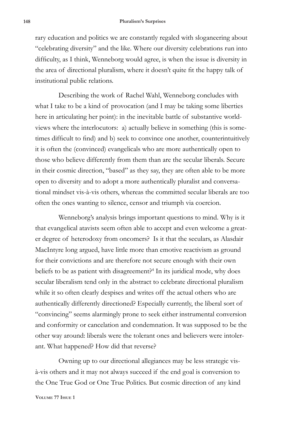## **148 Pluralism's Surprises**

rary education and politics we are constantly regaled with sloganeering about "celebrating diversity" and the like. Where our diversity celebrations run into difficulty, as I think, Wenneborg would agree, is when the issue is diversity in the area of directional pluralism, where it doesn't quite fit the happy talk of institutional public relations.

Describing the work of Rachel Wahl, Wenneborg concludes with what I take to be a kind of provocation (and I may be taking some liberties here in articulating her point): in the inevitable battle of substantive worldviews where the interlocutors: a) actually believe in something (this is sometimes difficult to find) and b) seek to convince one another, counterintuitively it is often the (convinced) evangelicals who are more authentically open to those who believe differently from them than are the secular liberals. Secure in their cosmic direction, "based" as they say, they are often able to be more open to diversity and to adopt a more authentically pluralist and conversational mindset vis-à-vis others, whereas the committed secular liberals are too often the ones wanting to silence, censor and triumph via coercion.

Wenneborg's analysis brings important questions to mind. Why is it that evangelical atavists seem often able to accept and even welcome a greater degree of heterodoxy from oncomers? Is it that the seculars, as Alasdair MacIntyre long argued, have little more than emotive reactivism as ground for their convictions and are therefore not secure enough with their own beliefs to be as patient with disagreement?<sup>4</sup> In its juridical mode, why does secular liberalism tend only in the abstract to celebrate directional pluralism while it so often clearly despises and writes off the actual others who are authentically differently directioned? Especially currently, the liberal sort of "convincing" seems alarmingly prone to seek either instrumental conversion and conformity or cancelation and condemnation. It was supposed to be the other way around: liberals were the tolerant ones and believers were intolerant. What happened? How did that reverse?

Owning up to our directional allegiances may be less strategic visà-vis others and it may not always succeed if the end goal is conversion to the One True God or One True Politics. But cosmic direction of any kind